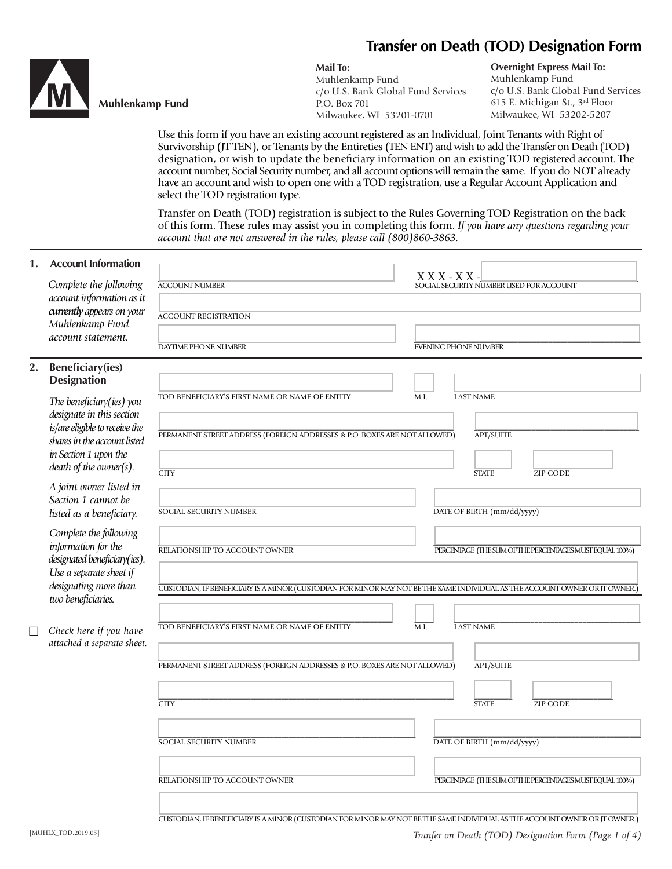# **Transfer on Death (TOD) Designation Form**

Г



## **Muhlenkamp Fund**

#### **Mail To:**

Muhlenkamp Fund c/o U.S. Bank Global Fund Services P.O. Box 701 Milwaukee, WI 53201-0701

**Overnight Express Mail To:** Muhlenkamp Fund c/o U.S. Bank Global Fund Services 615 E. Michigan St., 3rd Floor Milwaukee, WI 53202-5207

Use this form if you have an existing account registered as an Individual, Joint Tenants with Right of Survivorship (JT TEN), or Tenants by the Entireties (TEN ENT) and wish to add the Transfer on Death (TOD) designation, or wish to update the beneficiary information on an existing TOD registered account. The account number, Social Security number, and all account options will remain the same. If you do NOT already have an account and wish to open one with a TOD registration, use a Regular Account Application and select the TOD registration type.

Transfer on Death (TOD) registration is subject to the Rules Governing TOD Registration on the back of this form. These rules may assist you in completing this form. *If you have any questions regarding your account that are not answered in the rules, please call (800)860-3863.*

#### **1. Account Information**

|  | Complete the following                                                                                                                                  | <b>ACCOUNT NUMBER</b>                                                                                                       | $X$ X X - X X -<br>SOCIAL SECURITY NUMBER USED FOR ACCOUNT |
|--|---------------------------------------------------------------------------------------------------------------------------------------------------------|-----------------------------------------------------------------------------------------------------------------------------|------------------------------------------------------------|
|  | account information as it                                                                                                                               |                                                                                                                             |                                                            |
|  | currently appears on your<br>Muhlenkamp Fund                                                                                                            | <b>ACCOUNT REGISTRATION</b>                                                                                                 |                                                            |
|  | account statement.                                                                                                                                      |                                                                                                                             |                                                            |
|  |                                                                                                                                                         | DAYTIME PHONE NUMBER                                                                                                        | <b>EVENING PHONE NUMBER</b>                                |
|  | 2. Beneficiary(ies)<br><b>Designation</b>                                                                                                               |                                                                                                                             |                                                            |
|  | The beneficiary(ies) you<br>designate in this section                                                                                                   | TOD BENEFICIARY'S FIRST NAME OR NAME OF ENTITY                                                                              | <b>LAST NAME</b><br>M.I.                                   |
|  | is/are eligible to receive the<br>shares in the account listed                                                                                          | PERMANENT STREET ADDRESS (FOREIGN ADDRESSES & P.O. BOXES ARE NOT ALLOWED)                                                   | <b>APT/SUITE</b>                                           |
|  | in Section 1 upon the<br>death of the owner(s).                                                                                                         |                                                                                                                             |                                                            |
|  | A joint owner listed in                                                                                                                                 | <b>CITY</b>                                                                                                                 | <b>STATE</b><br><b>ZIP CODE</b>                            |
|  | Section 1 cannot be<br>listed as a beneficiary.                                                                                                         | SOCIAL SECURITY NUMBER                                                                                                      | DATE OF BIRTH (mm/dd/yyyy)                                 |
|  | Complete the following<br>information for the<br>designated beneficiary(ies).<br>Use a separate sheet if<br>designating more than<br>two beneficiaries. | RELATIONSHIP TO ACCOUNT OWNER                                                                                               | PERCENTAGE (THE SUM OF THE PERCENTAGES MUST EQUAL 100%)    |
|  |                                                                                                                                                         | CUSTODIAN, IF BENEFICIARY IS A MINOR (CUSTODIAN FOR MINOR MAY NOT BE THE SAME INDIVIDUAL AS THE ACCOUNT OWNER OR JT OWNER.) |                                                            |
|  | Check here if you have<br>attached a separate sheet.                                                                                                    | TOD BENEFICIARY'S FIRST NAME OR NAME OF ENTITY                                                                              | M.I.<br><b>LAST NAME</b>                                   |
|  |                                                                                                                                                         | <b>APT/SUITE</b><br>PERMANENT STREET ADDRESS (FOREIGN ADDRESSES & P.O. BOXES ARE NOT ALLOWED)                               |                                                            |
|  |                                                                                                                                                         | <b>CITY</b>                                                                                                                 | <b>STATE</b><br><b>ZIP CODE</b>                            |
|  |                                                                                                                                                         | <b>SOCIAL SECURITY NUMBER</b>                                                                                               | DATE OF BIRTH (mm/dd/yyyy)                                 |
|  |                                                                                                                                                         |                                                                                                                             |                                                            |
|  |                                                                                                                                                         | RELATIONSHIP TO ACCOUNT OWNER                                                                                               | PERCENTAGE (THE SUM OF THE PERCENTAGES MUST EQUAL 100%)    |
|  |                                                                                                                                                         |                                                                                                                             |                                                            |

|<br>CUSTODIAN, IF BENEFICIARY IS A MINOR (CUSTODIAN FOR MINOR MAY NOT BE THE SAME INDIVIDUAL AS THE ACCOUNT OWNER OR JT OWNER )

[MUHLX\_TOD.2019.05] *Tranfer on Death (TOD) Designation Form (Page 1 of 4)*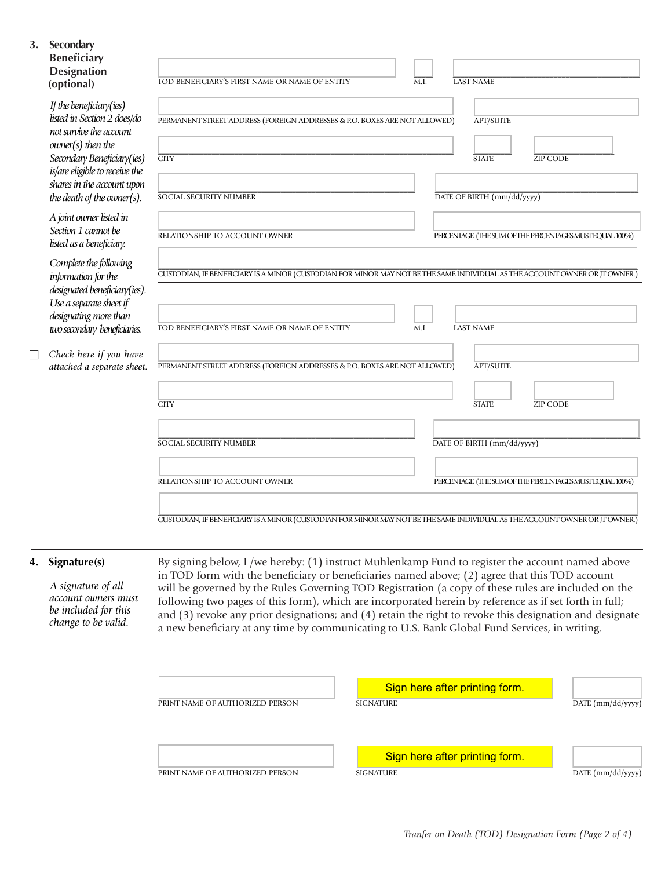| 3. | Secondary<br><b>Beneficiary</b><br><b>Designation</b><br>(optional)                                                                                                                                                                                                                                                | TOD BENEFICIARY'S FIRST NAME OR NAME OF ENTITY<br>M.I.<br><b>LAST NAME</b>                                                                                                                                |  |  |
|----|--------------------------------------------------------------------------------------------------------------------------------------------------------------------------------------------------------------------------------------------------------------------------------------------------------------------|-----------------------------------------------------------------------------------------------------------------------------------------------------------------------------------------------------------|--|--|
|    | If the beneficiary(ies)<br>listed in Section 2 does/do<br>not survive the account<br>$owner(s)$ then the<br>Secondary Beneficiary(ies)<br>is/are eligible to receive the<br>shares in the account upon<br>the death of the owner(s).<br>A joint owner listed in<br>Section 1 cannot be<br>listed as a beneficiary. | <b>APT/SUITE</b><br>PERMANENT STREET ADDRESS (FOREIGN ADDRESSES & P.O. BOXES ARE NOT ALLOWED)<br><b>CITY</b><br><b>STATE</b><br><b>ZIP CODE</b>                                                           |  |  |
|    |                                                                                                                                                                                                                                                                                                                    | DATE OF BIRTH (mm/dd/yyyy)<br><b>SOCIAL SECURITY NUMBER</b>                                                                                                                                               |  |  |
|    |                                                                                                                                                                                                                                                                                                                    | RELATIONSHIP TO ACCOUNT OWNER<br>PERCENTAGE (THE SUM OF THE PERCENTAGES MUST EQUAL 100%)                                                                                                                  |  |  |
|    | Complete the following<br>information for the<br>designated beneficiary(ies).<br>Use a separate sheet if<br>designating more than<br>two secondary beneficiaries.                                                                                                                                                  | CUSTODIAN, IF BENEFICIARY IS A MINOR (CUSTODIAN FOR MINOR MAY NOT BE THE SAME INDIVIDUAL AS THE ACCOUNT OWNER OR JT OWNER.)<br>TOD BENEFICIARY'S FIRST NAME OR NAME OF ENTITY<br>M.I.<br><b>LAST NAME</b> |  |  |
|    | Check here if you have<br>attached a separate sheet.                                                                                                                                                                                                                                                               | <b>APT/SUITE</b><br>PERMANENT STREET ADDRESS (FOREIGN ADDRESSES & P.O. BOXES ARE NOT ALLOWED)                                                                                                             |  |  |
|    |                                                                                                                                                                                                                                                                                                                    | <b>CITY</b><br><b>STATE</b><br><b>ZIP CODE</b>                                                                                                                                                            |  |  |
|    |                                                                                                                                                                                                                                                                                                                    | DATE OF BIRTH (mm/dd/yyyy)<br><b>SOCIAL SECURITY NUMBER</b>                                                                                                                                               |  |  |
|    |                                                                                                                                                                                                                                                                                                                    | RELATIONSHIP TO ACCOUNT OWNER<br>PERCENTAGE (THE SUM OF THE PERCENTAGES MUST EQUAL 100%)                                                                                                                  |  |  |
|    |                                                                                                                                                                                                                                                                                                                    | CUSTODIAN, IF BENEFICIARY IS A MINOR (CUSTODIAN FOR MINOR MAY NOT BE THE SAME INDIVIDUAL AS THE ACCOUNT OWNER OR JT OWNER.)                                                                               |  |  |

## **4. Signature(s)**

 *A signature of all account owners must be included for this change to be valid.* 

By signing below, I /we hereby: (1) instruct Muhlenkamp Fund to register the account named above in TOD form with the beneficiary or beneficiaries named above; (2) agree that this TOD account will be governed by the Rules Governing TOD Registration (a copy of these rules are included on the following two pages of this form), which are incorporated herein by reference as if set forth in full; and (3) revoke any prior designations; and (4) retain the right to revoke this designation and designate a new beneficiary at any time by communicating to U.S. Bank Global Fund Services, in writing.

| PRINT NAME OF AUTHORIZED PERSON | Sign here after printing form.<br><b>SIGNATURE</b> | $DATAE$ (mm/dd/yyyy) |
|---------------------------------|----------------------------------------------------|----------------------|
| PRINT NAME OF AUTHORIZED PERSON | Sign here after printing form.<br><b>SIGNATURE</b> | DATE (mm/dd/yyyy)    |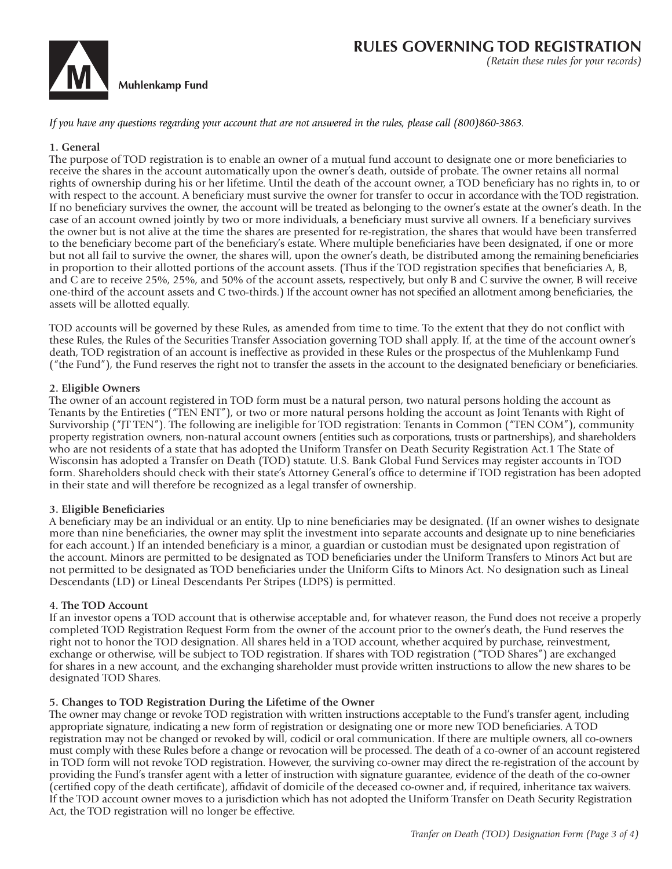

*If you have any questions regarding your account that are not answered in the rules, please call (800)860-3863.*

## **1. General**

The purpose of TOD registration is to enable an owner of a mutual fund account to designate one or more beneficiaries to receive the shares in the account automatically upon the owner's death, outside of probate. The owner retains all normal rights of ownership during his or her lifetime. Until the death of the account owner, a TOD beneficiary has no rights in, to or with respect to the account. A beneficiary must survive the owner for transfer to occur in accordance with the TOD registration. If no beneficiary survives the owner, the account will be treated as belonging to the owner's estate at the owner's death. In the case of an account owned jointly by two or more individuals, a beneficiary must survive all owners. If a beneficiary survives the owner but is not alive at the time the shares are presented for re-registration, the shares that would have been transferred to the beneficiary become part of the beneficiary's estate. Where multiple beneficiaries have been designated, if one or more but not all fail to survive the owner, the shares will, upon the owner's death, be distributed among the remaining beneficiaries in proportion to their allotted portions of the account assets. (Thus if the TOD registration specifies that beneficiaries A, B, and C are to receive 25%, 25%, and 50% of the account assets, respectively, but only B and C survive the owner, B will receive one-third of the account assets and C two-thirds.) If the account owner has not specified an allotment among beneficiaries, the assets will be allotted equally.

TOD accounts will be governed by these Rules, as amended from time to time. To the extent that they do not conflict with these Rules, the Rules of the Securities Transfer Association governing TOD shall apply. If, at the time of the account owner's death, TOD registration of an account is ineffective as provided in these Rules or the prospectus of the Muhlenkamp Fund ("the Fund"), the Fund reserves the right not to transfer the assets in the account to the designated beneficiary or beneficiaries.

## **2. Eligible Owners**

The owner of an account registered in TOD form must be a natural person, two natural persons holding the account as Tenants by the Entireties ("TEN ENT"), or two or more natural persons holding the account as Joint Tenants with Right of Survivorship ("JT TEN"). The following are ineligible for TOD registration: Tenants in Common ("TEN COM"), community property registration owners, non-natural account owners (entities such as corporations, trusts or partnerships), and shareholders who are not residents of a state that has adopted the Uniform Transfer on Death Security Registration Act.1 The State of Wisconsin has adopted a Transfer on Death (TOD) statute. U.S. Bank Global Fund Services may register accounts in TOD form. Shareholders should check with their state's Attorney General's office to determine if TOD registration has been adopted in their state and will therefore be recognized as a legal transfer of ownership.

#### **3. Eligible Beneficiaries**

A beneficiary may be an individual or an entity. Up to nine beneficiaries may be designated. (If an owner wishes to designate more than nine beneficiaries, the owner may split the investment into separate accounts and designate up to nine beneficiaries for each account.) If an intended beneficiary is a minor, a guardian or custodian must be designated upon registration of the account. Minors are permitted to be designated as TOD beneficiaries under the Uniform Transfers to Minors Act but are not permitted to be designated as TOD beneficiaries under the Uniform Gifts to Minors Act. No designation such as Lineal Descendants (LD) or Lineal Descendants Per Stripes (LDPS) is permitted.

#### **4. The TOD Account**

If an investor opens a TOD account that is otherwise acceptable and, for whatever reason, the Fund does not receive a properly completed TOD Registration Request Form from the owner of the account prior to the owner's death, the Fund reserves the right not to honor the TOD designation. All shares held in a TOD account, whether acquired by purchase, reinvestment, exchange or otherwise, will be subject to TOD registration. If shares with TOD registration ("TOD Shares") are exchanged for shares in a new account, and the exchanging shareholder must provide written instructions to allow the new shares to be designated TOD Shares.

## **5. Changes to TOD Registration During the Lifetime of the Owner**

The owner may change or revoke TOD registration with written instructions acceptable to the Fund's transfer agent, including appropriate signature, indicating a new form of registration or designating one or more new TOD beneficiaries. A TOD registration may not be changed or revoked by will, codicil or oral communication. If there are multiple owners, all co-owners must comply with these Rules before a change or revocation will be processed. The death of a co-owner of an account registered in TOD form will not revoke TOD registration. However, the surviving co-owner may direct the re-registration of the account by providing the Fund's transfer agent with a letter of instruction with signature guarantee, evidence of the death of the co-owner (certified copy of the death certificate), affidavit of domicile of the deceased co-owner and, if required, inheritance tax waivers. If the TOD account owner moves to a jurisdiction which has not adopted the Uniform Transfer on Death Security Registration Act, the TOD registration will no longer be effective.